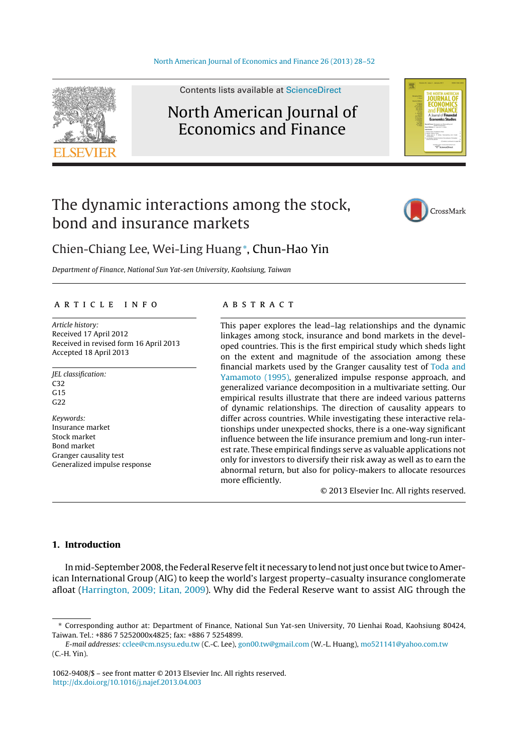

Contents lists available at [ScienceDirect](http://www.sciencedirect.com/science/journal/10629408)

## North American Journal of Economics and Finance



# The dynamic interactions among the stock, bond and insurance markets



### Chien-Chiang Lee, Wei-Ling Huang<sup>∗</sup> , Chun-Hao Yin

Department of Finance, National Sun Yat-sen University, Kaohsiung, Taiwan

#### a r t i c l e i n f o

Article history: Received 17 April 2012 Received in revised form 16 April 2013 Accepted 18 April 2013

JEL classification: C32  $G<sub>15</sub>$ G22 Keywords: Insurance market Stock market Bond market Granger causality test Generalized impulse response

#### a b s t r a c t

This paper explores the lead–lag relationships and the dynamic linkages among stock, insurance and bond markets in the developed countries. This is the first empirical study which sheds light on the extent and magnitude of the association among these financial markets used by the Granger causality test of [Toda](#page--1-0) [and](#page--1-0) [Yamamoto](#page--1-0) [\(1995\),](#page--1-0) generalized impulse response approach, and generalized variance decomposition in a multivariate setting. Our empirical results illustrate that there are indeed various patterns of dynamic relationships. The direction of causality appears to differ across countries. While investigating these interactive relationships under unexpected shocks, there is a one-way significant influence between the life insurance premium and long-run interest rate. These empirical findings serve as valuable applications not only for investors to diversify their risk away as well as to earn the abnormal return, but also for policy-makers to allocate resources more efficiently.

© 2013 Elsevier Inc. All rights reserved.

#### **1. Introduction**

In mid-September 2008, the Federal Reserve felt it necessary to lend not just once but twice to American International Group (AIG) to keep the world's largest property–casualty insurance conglomerate afloat [\(Harrington,](#page--1-0) [2009;](#page--1-0) [Litan,](#page--1-0) [2009\).](#page--1-0) Why did the Federal Reserve want to assist AIG through the

<sup>∗</sup> Corresponding author at: Department of Finance, National Sun Yat-sen University, 70 Lienhai Road, Kaohsiung 80424, Taiwan. Tel.: +886 7 5252000x4825; fax: +886 7 5254899.

E-mail addresses: [cclee@cm.nsysu.edu.tw](mailto:cclee@cm.nsysu.edu.tw) (C.-C. Lee), [gon00.tw@gmail.com](mailto:gon00.tw@gmail.com) (W.-L. Huang), [mo521141@yahoo.com.tw](mailto:mo521141@yahoo.com.tw) (C.-H. Yin).

<sup>1062-9408/\$</sup> – see front matter © 2013 Elsevier Inc. All rights reserved. [http://dx.doi.org/10.1016/j.najef.2013.04.003](dx.doi.org/10.1016/j.najef.2013.04.003)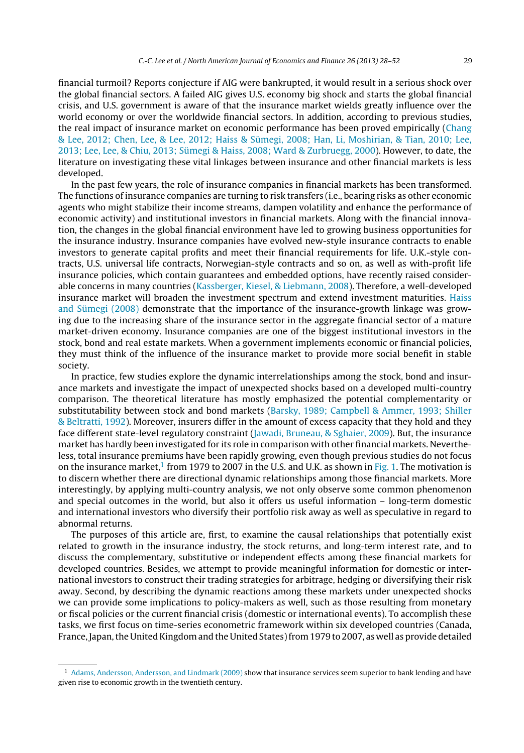financial turmoil? Reports conjecture if AIG were bankrupted, it would result in a serious shock over the global financial sectors. A failed AIG gives U.S. economy big shock and starts the global financial crisis, and U.S. government is aware of that the insurance market wields greatly influence over the world economy or over the worldwide financial sectors. In addition, according to previous studies, the real impact of insurance market on economic performance has been proved empirically [\(Chang](#page--1-0) [&](#page--1-0) [Lee,](#page--1-0) [2012;](#page--1-0) [Chen,](#page--1-0) [Lee,](#page--1-0) [&](#page--1-0) [Lee,](#page--1-0) [2012;](#page--1-0) [Haiss](#page--1-0) [&](#page--1-0) [Sümegi,](#page--1-0) [2008;](#page--1-0) [Han,](#page--1-0) [Li,](#page--1-0) [Moshirian,](#page--1-0) [&](#page--1-0) [Tian,](#page--1-0) [2010;](#page--1-0) [Lee,](#page--1-0) [2013;](#page--1-0) [Lee,](#page--1-0) [Lee,](#page--1-0) [&](#page--1-0) [Chiu,](#page--1-0) [2013;](#page--1-0) [Sümegi](#page--1-0) [&](#page--1-0) [Haiss,](#page--1-0) [2008;](#page--1-0) [Ward](#page--1-0) [&](#page--1-0) [Zurbruegg,](#page--1-0) [2000\).](#page--1-0) However, to date, the literature on investigating these vital linkages between insurance and other financial markets is less developed.

In the past few years, the role of insurance companies in financial markets has been transformed. The functions of insurance companies are turning to risk transfers (i.e., bearing risks as other economic agents who might stabilize their income streams, dampen volatility and enhance the performance of economic activity) and institutional investors in financial markets. Along with the financial innovation, the changes in the global financial environment have led to growing business opportunities for the insurance industry. Insurance companies have evolved new-style insurance contracts to enable investors to generate capital profits and meet their financial requirements for life. U.K.-style contracts, U.S. universal life contracts, Norwegian-style contracts and so on, as well as with-profit life insurance policies, which contain guarantees and embedded options, have recently raised considerable concerns in many countries [\(Kassberger,](#page--1-0) [Kiesel,](#page--1-0) [&](#page--1-0) [Liebmann,](#page--1-0) [2008\).](#page--1-0) Therefore, a well-developed insurance market will broaden the investment spectrum and extend investment maturities. [Haiss](#page--1-0) [and](#page--1-0) [Sümegi](#page--1-0) [\(2008\)](#page--1-0) demonstrate that the importance of the insurance-growth linkage was growing due to the increasing share of the insurance sector in the aggregate financial sector of a mature market-driven economy. Insurance companies are one of the biggest institutional investors in the stock, bond and real estate markets. When a government implements economic or financial policies, they must think of the influence of the insurance market to provide more social benefit in stable society.

In practice, few studies explore the dynamic interrelationships among the stock, bond and insurance markets and investigate the impact of unexpected shocks based on a developed multi-country comparison. The theoretical literature has mostly emphasized the potential complementarity or substitutability between stock and bond markets ([Barsky,](#page--1-0) [1989;](#page--1-0) [Campbell](#page--1-0) [&](#page--1-0) [Ammer,](#page--1-0) [1993;](#page--1-0) [Shiller](#page--1-0) [&](#page--1-0) [Beltratti,](#page--1-0) [1992\).](#page--1-0) Moreover, insurers differ in the amount of excess capacity that they hold and they face different state-level regulatory constraint [\(Jawadi,](#page--1-0) [Bruneau,](#page--1-0) [&](#page--1-0) [Sghaier,](#page--1-0) [2009\).](#page--1-0) But, the insurance market has hardly been investigated for its role in comparison with other financial markets. Nevertheless, total insurance premiums have been rapidly growing, even though previous studies do not focus on the insurance market, $1$  from 1979 to 2007 in the U.S. and U.K. as shown in [Fig.](#page--1-0) 1. The motivation is to discern whether there are directional dynamic relationships among those financial markets. More interestingly, by applying multi-country analysis, we not only observe some common phenomenon and special outcomes in the world, but also it offers us useful information – long-term domestic and international investors who diversify their portfolio risk away as well as speculative in regard to abnormal returns.

The purposes of this article are, first, to examine the causal relationships that potentially exist related to growth in the insurance industry, the stock returns, and long-term interest rate, and to discuss the complementary, substitutive or independent effects among these financial markets for developed countries. Besides, we attempt to provide meaningful information for domestic or international investors to construct their trading strategies for arbitrage, hedging or diversifying their risk away. Second, by describing the dynamic reactions among these markets under unexpected shocks we can provide some implications to policy-makers as well, such as those resulting from monetary or fiscal policies or the current financial crisis (domestic or international events). To accomplish these tasks, we first focus on time-series econometric framework within six developed countries (Canada, France, Japan, the United Kingdom and the United States) from 1979 to 2007, as well as provide detailed

<sup>1</sup> [Adams,](#page--1-0) [Andersson,](#page--1-0) [Andersson,](#page--1-0) [and](#page--1-0) [Lindmark](#page--1-0) [\(2009\)](#page--1-0) show that insurance services seem superior to bank lending and have given rise to economic growth in the twentieth century.